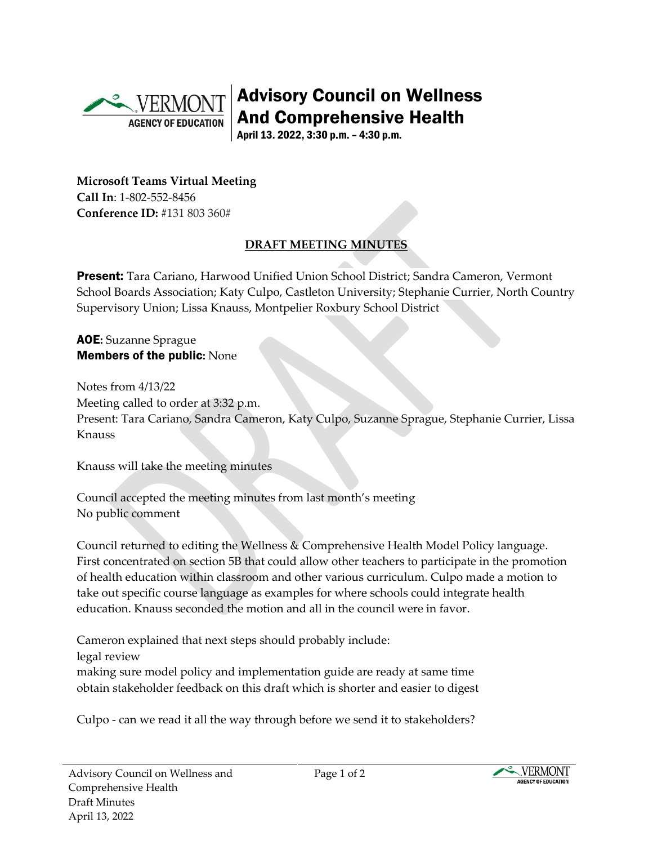

Advisory Council on Wellness And Comprehensive Health

April 13. 2022, 3:30 p.m. – 4:30 p.m.

**Microsoft Teams Virtual Meeting Call In**: 1-802-552-8456 **Conference ID:** #131 803 360#

## **DRAFT MEETING MINUTES**

Present: Tara Cariano, Harwood Unified Union School District; Sandra Cameron, Vermont School Boards Association; Katy Culpo, Castleton University; Stephanie Currier, North Country Supervisory Union; Lissa Knauss, Montpelier Roxbury School District

AOE**:** Suzanne Sprague Members of the public**:** None

Notes from 4/13/22 Meeting called to order at 3:32 p.m. Present: Tara Cariano, Sandra Cameron, Katy Culpo, Suzanne Sprague, Stephanie Currier, Lissa Knauss

Knauss will take the meeting minutes

Council accepted the meeting minutes from last month's meeting No public comment

Council returned to editing the Wellness & Comprehensive Health Model Policy language. First concentrated on section 5B that could allow other teachers to participate in the promotion of health education within classroom and other various curriculum. Culpo made a motion to take out specific course language as examples for where schools could integrate health education. Knauss seconded the motion and all in the council were in favor.

Cameron explained that next steps should probably include: legal review making sure model policy and implementation guide are ready at same time obtain stakeholder feedback on this draft which is shorter and easier to digest

Culpo - can we read it all the way through before we send it to stakeholders?